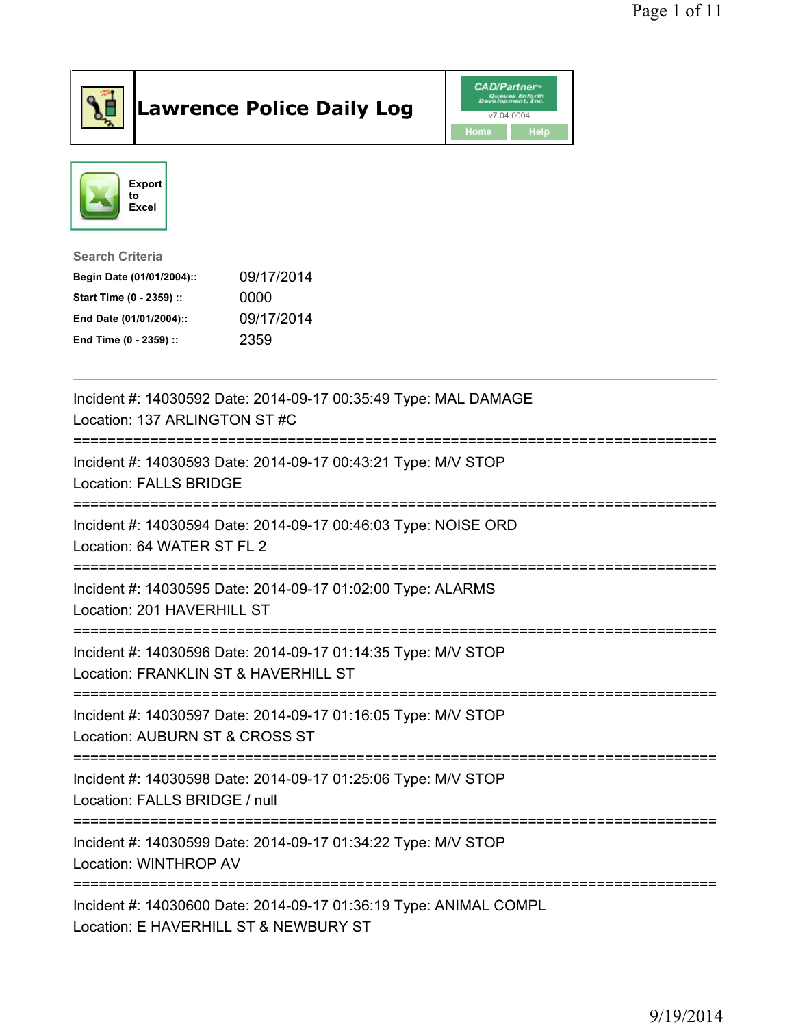

## Lawrence Police Daily Log Value of the CAD/Partner





## Search Criteria

| Begin Date (01/01/2004):: | 09/17/2014 |
|---------------------------|------------|
| Start Time (0 - 2359) ::  | 0000       |
| End Date (01/01/2004)::   | 09/17/2014 |
| End Time (0 - 2359) ::    | 2359       |

| Incident #: 14030592 Date: 2014-09-17 00:35:49 Type: MAL DAMAGE<br>Location: 137 ARLINGTON ST #C           |
|------------------------------------------------------------------------------------------------------------|
| Incident #: 14030593 Date: 2014-09-17 00:43:21 Type: M/V STOP<br><b>Location: FALLS BRIDGE</b>             |
| Incident #: 14030594 Date: 2014-09-17 00:46:03 Type: NOISE ORD<br>Location: 64 WATER ST FL 2               |
| Incident #: 14030595 Date: 2014-09-17 01:02:00 Type: ALARMS<br>Location: 201 HAVERHILL ST                  |
| Incident #: 14030596 Date: 2014-09-17 01:14:35 Type: M/V STOP<br>Location: FRANKLIN ST & HAVERHILL ST      |
| Incident #: 14030597 Date: 2014-09-17 01:16:05 Type: M/V STOP<br>Location: AUBURN ST & CROSS ST            |
| Incident #: 14030598 Date: 2014-09-17 01:25:06 Type: M/V STOP<br>Location: FALLS BRIDGE / null             |
| Incident #: 14030599 Date: 2014-09-17 01:34:22 Type: M/V STOP<br>Location: WINTHROP AV                     |
| Incident #: 14030600 Date: 2014-09-17 01:36:19 Type: ANIMAL COMPL<br>Location: E HAVERHILL ST & NEWBURY ST |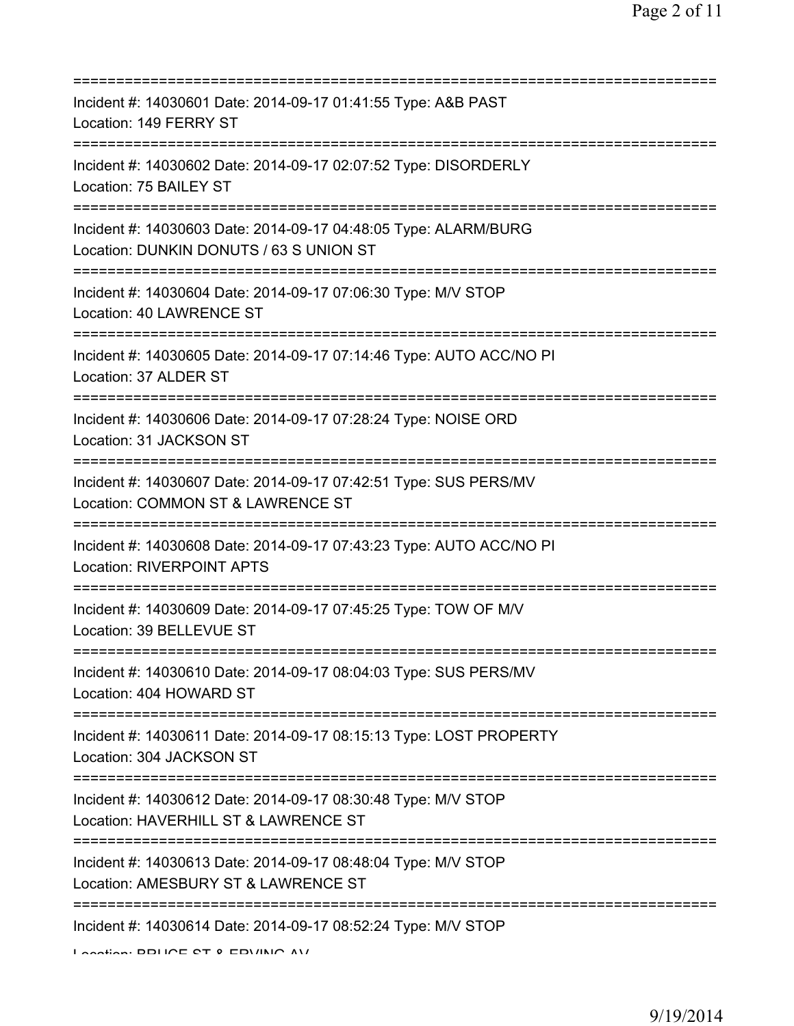| Incident #: 14030601 Date: 2014-09-17 01:41:55 Type: A&B PAST<br>Location: 149 FERRY ST                                                             |
|-----------------------------------------------------------------------------------------------------------------------------------------------------|
| Incident #: 14030602 Date: 2014-09-17 02:07:52 Type: DISORDERLY<br>Location: 75 BAILEY ST                                                           |
| Incident #: 14030603 Date: 2014-09-17 04:48:05 Type: ALARM/BURG<br>Location: DUNKIN DONUTS / 63 S UNION ST<br>:=========================            |
| Incident #: 14030604 Date: 2014-09-17 07:06:30 Type: M/V STOP<br>Location: 40 LAWRENCE ST                                                           |
| Incident #: 14030605 Date: 2014-09-17 07:14:46 Type: AUTO ACC/NO PI<br>Location: 37 ALDER ST                                                        |
| Incident #: 14030606 Date: 2014-09-17 07:28:24 Type: NOISE ORD<br>Location: 31 JACKSON ST<br>;=================================<br>:=============== |
| Incident #: 14030607 Date: 2014-09-17 07:42:51 Type: SUS PERS/MV<br>Location: COMMON ST & LAWRENCE ST                                               |
| :====================<br>Incident #: 14030608 Date: 2014-09-17 07:43:23 Type: AUTO ACC/NO PI<br><b>Location: RIVERPOINT APTS</b>                    |
| Incident #: 14030609 Date: 2014-09-17 07:45:25 Type: TOW OF M/V<br>Location: 39 BELLEVUE ST                                                         |
| Incident #: 14030610 Date: 2014-09-17 08:04:03 Type: SUS PERS/MV<br>Location: 404 HOWARD ST                                                         |
| Incident #: 14030611 Date: 2014-09-17 08:15:13 Type: LOST PROPERTY<br>Location: 304 JACKSON ST                                                      |
| Incident #: 14030612 Date: 2014-09-17 08:30:48 Type: M/V STOP<br>Location: HAVERHILL ST & LAWRENCE ST                                               |
| Incident #: 14030613 Date: 2014-09-17 08:48:04 Type: M/V STOP<br>Location: AMESBURY ST & LAWRENCE ST                                                |
| ===============================<br>Incident #: 14030614 Date: 2014-09-17 08:52:24 Type: M/V STOP<br>I continue DDI IOE CT 0 EDI/INIO AV             |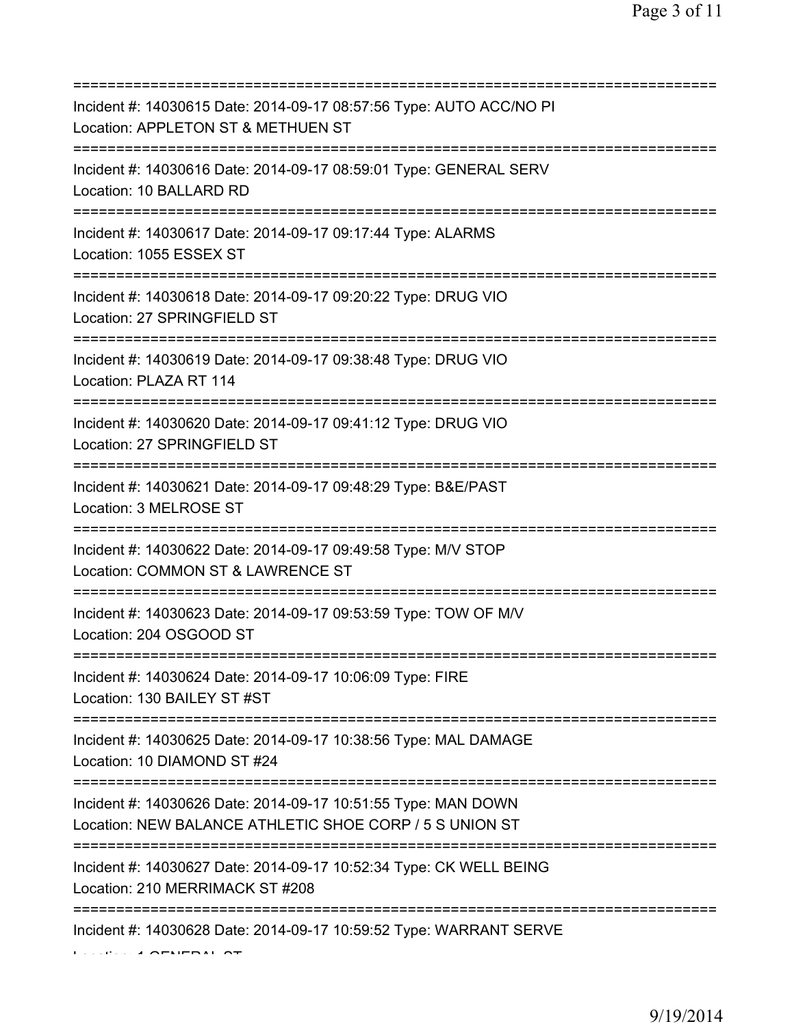| Incident #: 14030615 Date: 2014-09-17 08:57:56 Type: AUTO ACC/NO PI<br>Location: APPLETON ST & METHUEN ST<br>=======================         |
|----------------------------------------------------------------------------------------------------------------------------------------------|
| Incident #: 14030616 Date: 2014-09-17 08:59:01 Type: GENERAL SERV<br>Location: 10 BALLARD RD                                                 |
| Incident #: 14030617 Date: 2014-09-17 09:17:44 Type: ALARMS<br>Location: 1055 ESSEX ST<br>=====================                              |
| Incident #: 14030618 Date: 2014-09-17 09:20:22 Type: DRUG VIO<br>Location: 27 SPRINGFIELD ST                                                 |
| Incident #: 14030619 Date: 2014-09-17 09:38:48 Type: DRUG VIO<br>Location: PLAZA RT 114<br>=====================================             |
| Incident #: 14030620 Date: 2014-09-17 09:41:12 Type: DRUG VIO<br>Location: 27 SPRINGFIELD ST<br>;==================================          |
| Incident #: 14030621 Date: 2014-09-17 09:48:29 Type: B&E/PAST<br>Location: 3 MELROSE ST                                                      |
| Incident #: 14030622 Date: 2014-09-17 09:49:58 Type: M/V STOP<br>Location: COMMON ST & LAWRENCE ST                                           |
| Incident #: 14030623 Date: 2014-09-17 09:53:59 Type: TOW OF M/V<br>Location: 204 OSGOOD ST                                                   |
| Incident #: 14030624 Date: 2014-09-17 10:06:09 Type: FIRE<br>Location: 130 BAILEY ST #ST                                                     |
| Incident #: 14030625 Date: 2014-09-17 10:38:56 Type: MAL DAMAGE<br>Location: 10 DIAMOND ST #24                                               |
| Incident #: 14030626 Date: 2014-09-17 10:51:55 Type: MAN DOWN<br>Location: NEW BALANCE ATHLETIC SHOE CORP / 5 S UNION ST                     |
| ===================================<br>Incident #: 14030627 Date: 2014-09-17 10:52:34 Type: CK WELL BEING<br>Location: 210 MERRIMACK ST #208 |
| Incident #: 14030628 Date: 2014-09-17 10:59:52 Type: WARRANT SERVE                                                                           |

Location: 1 GENERAL ST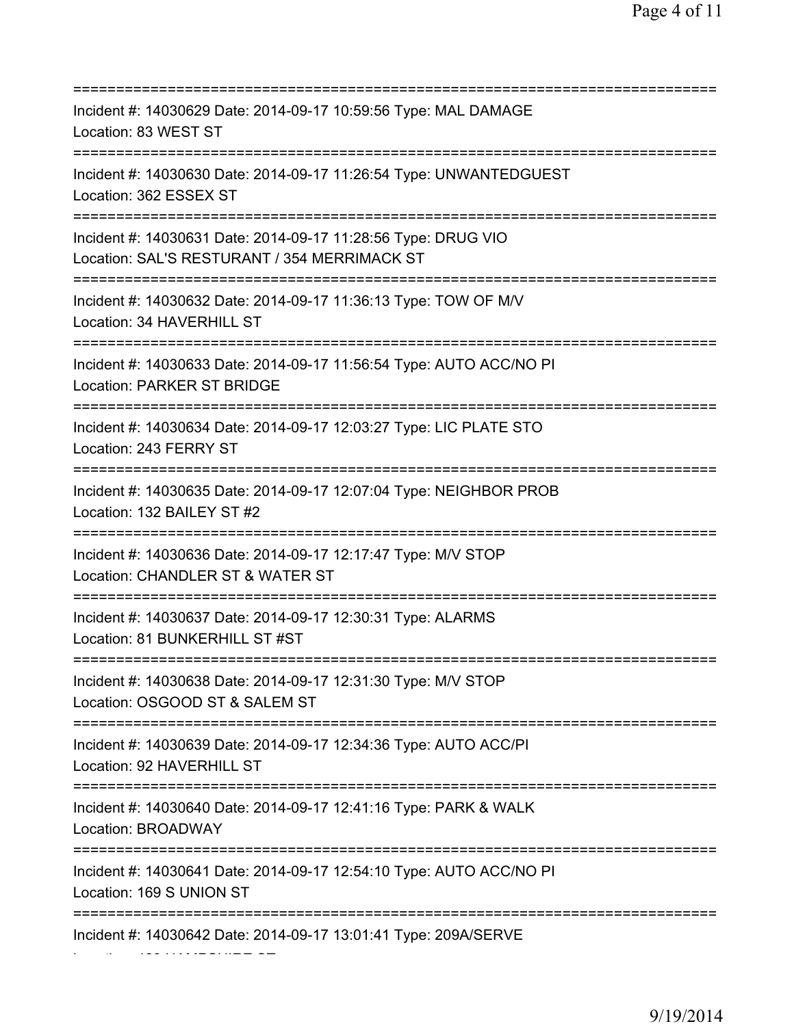=========================================================================== Incident #: 14030629 Date: 2014-09-17 10:59:56 Type: MAL DAMAGE Location: 83 WEST ST =========================================================================== Incident #: 14030630 Date: 2014-09-17 11:26:54 Type: UNWANTEDGUEST Location: 362 ESSEX ST =========================================================================== Incident #: 14030631 Date: 2014-09-17 11:28:56 Type: DRUG VIO Location: SAL'S RESTURANT / 354 MERRIMACK ST =========================================================================== Incident #: 14030632 Date: 2014-09-17 11:36:13 Type: TOW OF M/V Location: 34 HAVERHILL ST =========================================================================== Incident #: 14030633 Date: 2014-09-17 11:56:54 Type: AUTO ACC/NO PI Location: PARKER ST BRIDGE =========================================================================== Incident #: 14030634 Date: 2014-09-17 12:03:27 Type: LIC PLATE STO Location: 243 FERRY ST =========================================================================== Incident #: 14030635 Date: 2014-09-17 12:07:04 Type: NEIGHBOR PROB Location: 132 BAILEY ST #2 =========================================================================== Incident #: 14030636 Date: 2014-09-17 12:17:47 Type: M/V STOP Location: CHANDLER ST & WATER ST =========================================================================== Incident #: 14030637 Date: 2014-09-17 12:30:31 Type: ALARMS Location: 81 BUNKERHILL ST #ST =========================================================================== Incident #: 14030638 Date: 2014-09-17 12:31:30 Type: M/V STOP Location: OSGOOD ST & SALEM ST =========================================================================== Incident #: 14030639 Date: 2014-09-17 12:34:36 Type: AUTO ACC/PI Location: 92 HAVERHILL ST =========================================================================== Incident #: 14030640 Date: 2014-09-17 12:41:16 Type: PARK & WALK Location: BROADWAY =========================================================================== Incident #: 14030641 Date: 2014-09-17 12:54:10 Type: AUTO ACC/NO PI Location: 169 S UNION ST =========================================================================== Incident #: 14030642 Date: 2014-09-17 13:01:41 Type: 209A/SERVE

Location: 428 HAMPSHIRE ST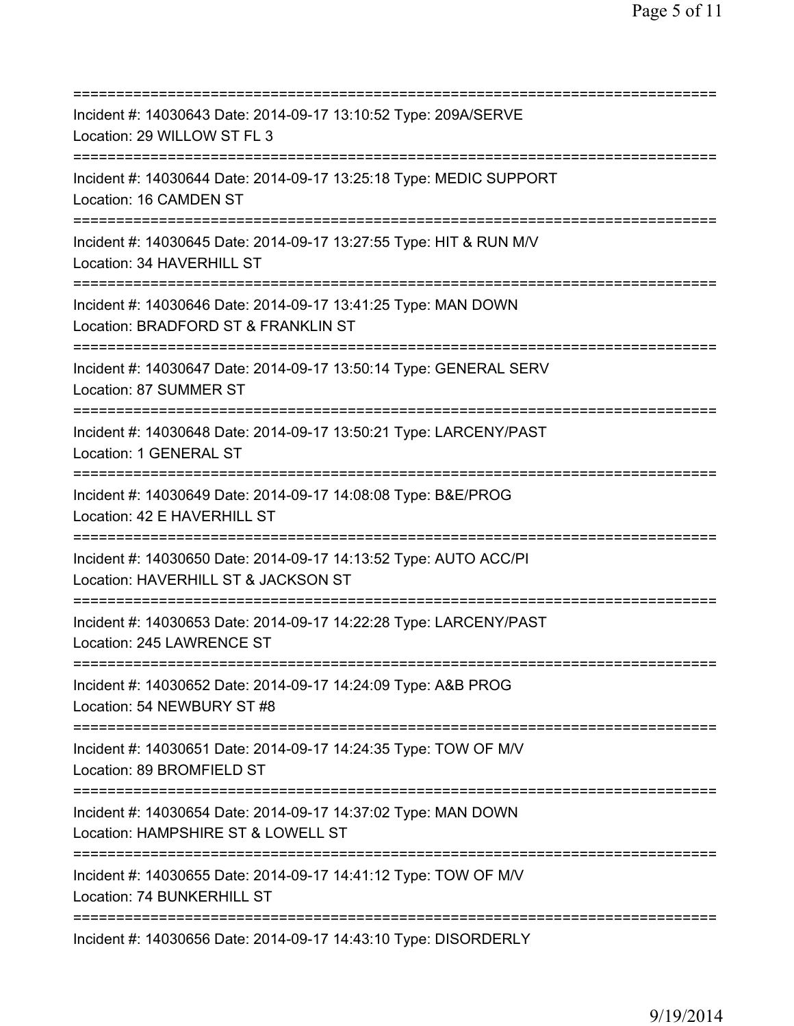| Incident #: 14030643 Date: 2014-09-17 13:10:52 Type: 209A/SERVE<br>Location: 29 WILLOW ST FL 3                                           |
|------------------------------------------------------------------------------------------------------------------------------------------|
| Incident #: 14030644 Date: 2014-09-17 13:25:18 Type: MEDIC SUPPORT<br>Location: 16 CAMDEN ST                                             |
| Incident #: 14030645 Date: 2014-09-17 13:27:55 Type: HIT & RUN M/V<br>Location: 34 HAVERHILL ST                                          |
| Incident #: 14030646 Date: 2014-09-17 13:41:25 Type: MAN DOWN<br>Location: BRADFORD ST & FRANKLIN ST                                     |
| Incident #: 14030647 Date: 2014-09-17 13:50:14 Type: GENERAL SERV<br>Location: 87 SUMMER ST<br>====================================      |
| Incident #: 14030648 Date: 2014-09-17 13:50:21 Type: LARCENY/PAST<br>Location: 1 GENERAL ST                                              |
| Incident #: 14030649 Date: 2014-09-17 14:08:08 Type: B&E/PROG<br>Location: 42 E HAVERHILL ST<br>================================         |
| Incident #: 14030650 Date: 2014-09-17 14:13:52 Type: AUTO ACC/PI<br>Location: HAVERHILL ST & JACKSON ST                                  |
| Incident #: 14030653 Date: 2014-09-17 14:22:28 Type: LARCENY/PAST<br>Location: 245 LAWRENCE ST<br>====================================== |
| Incident #: 14030652 Date: 2014-09-17 14:24:09 Type: A&B PROG<br>Location: 54 NEWBURY ST #8                                              |
| Incident #: 14030651 Date: 2014-09-17 14:24:35 Type: TOW OF M/V<br>Location: 89 BROMFIELD ST<br>====================================     |
| Incident #: 14030654 Date: 2014-09-17 14:37:02 Type: MAN DOWN<br>Location: HAMPSHIRE ST & LOWELL ST                                      |
| Incident #: 14030655 Date: 2014-09-17 14:41:12 Type: TOW OF M/V<br>Location: 74 BUNKERHILL ST                                            |
| Incident #: 14030656 Date: 2014-09-17 14:43:10 Type: DISORDERLY                                                                          |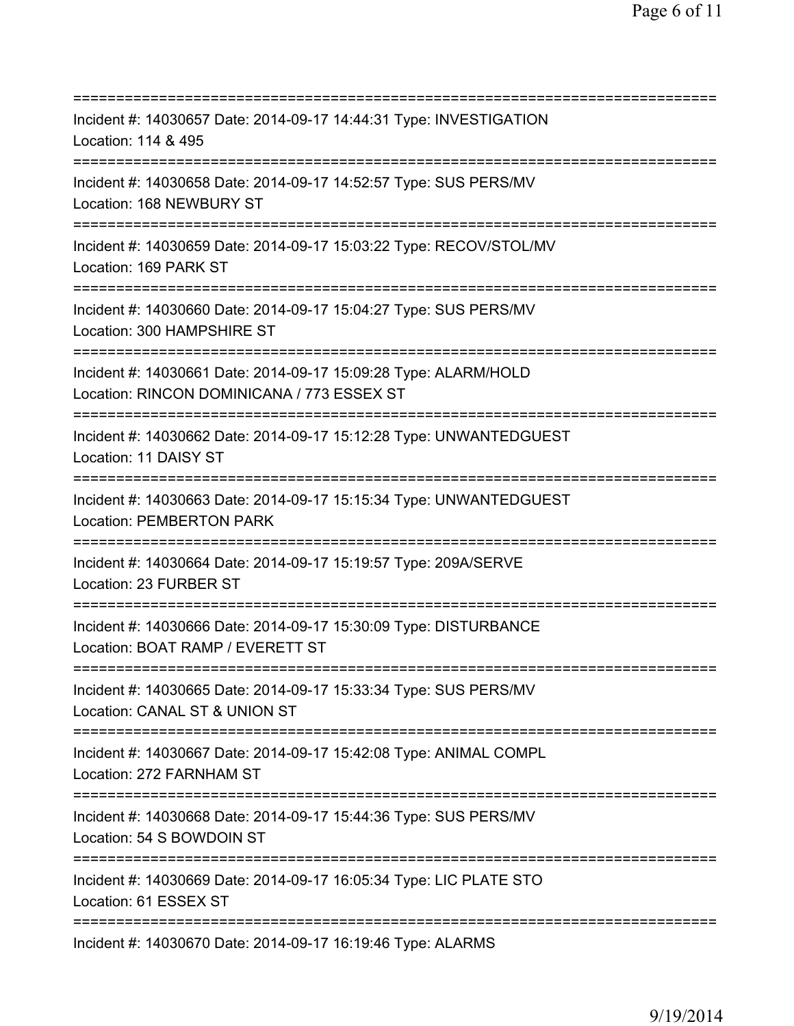=========================================================================== Incident #: 14030657 Date: 2014-09-17 14:44:31 Type: INVESTIGATION Location: 114 & 495 =========================================================================== Incident #: 14030658 Date: 2014-09-17 14:52:57 Type: SUS PERS/MV Location: 168 NEWBURY ST =========================================================================== Incident #: 14030659 Date: 2014-09-17 15:03:22 Type: RECOV/STOL/MV Location: 169 PARK ST =========================================================================== Incident #: 14030660 Date: 2014-09-17 15:04:27 Type: SUS PERS/MV Location: 300 HAMPSHIRE ST =========================================================================== Incident #: 14030661 Date: 2014-09-17 15:09:28 Type: ALARM/HOLD Location: RINCON DOMINICANA / 773 ESSEX ST =========================================================================== Incident #: 14030662 Date: 2014-09-17 15:12:28 Type: UNWANTEDGUEST Location: 11 DAISY ST =========================================================================== Incident #: 14030663 Date: 2014-09-17 15:15:34 Type: UNWANTEDGUEST Location: PEMBERTON PARK =========================================================================== Incident #: 14030664 Date: 2014-09-17 15:19:57 Type: 209A/SERVE Location: 23 FURBER ST =========================================================================== Incident #: 14030666 Date: 2014-09-17 15:30:09 Type: DISTURBANCE Location: BOAT RAMP / EVERETT ST =========================================================================== Incident #: 14030665 Date: 2014-09-17 15:33:34 Type: SUS PERS/MV Location: CANAL ST & UNION ST =========================================================================== Incident #: 14030667 Date: 2014-09-17 15:42:08 Type: ANIMAL COMPL Location: 272 FARNHAM ST =========================================================================== Incident #: 14030668 Date: 2014-09-17 15:44:36 Type: SUS PERS/MV Location: 54 S BOWDOIN ST =========================================================================== Incident #: 14030669 Date: 2014-09-17 16:05:34 Type: LIC PLATE STO Location: 61 ESSEX ST =========================================================================== Incident #: 14030670 Date: 2014-09-17 16:19:46 Type: ALARMS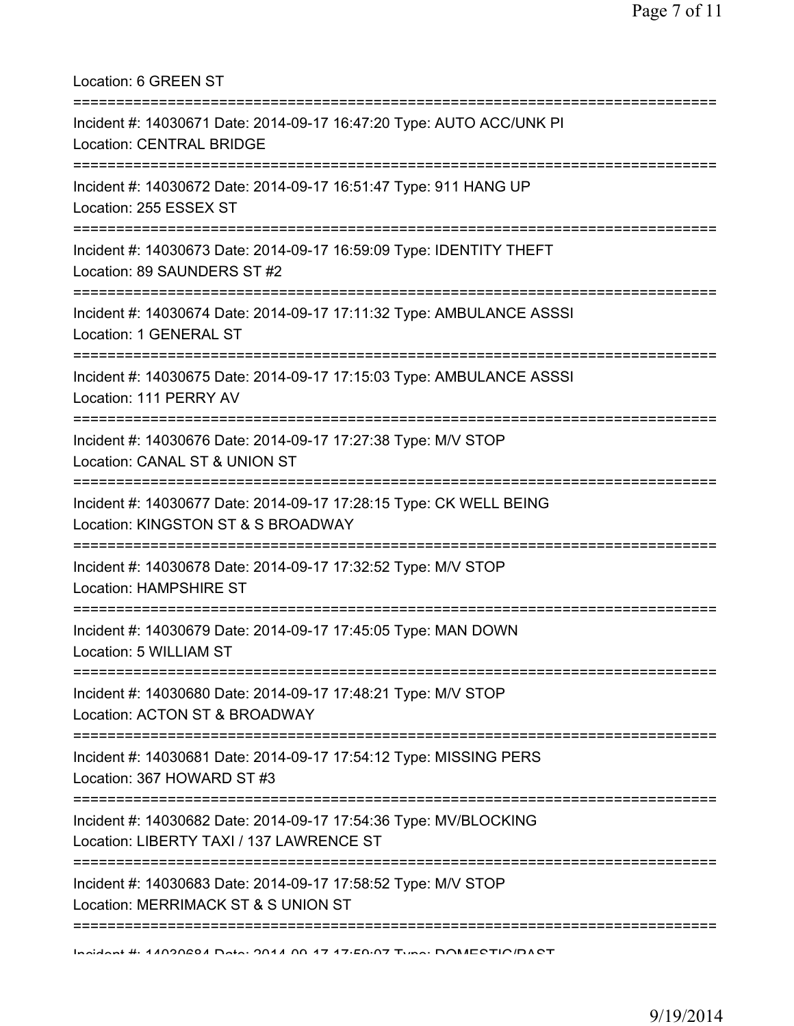| Location: 6 GREEN ST                                                                                                               |
|------------------------------------------------------------------------------------------------------------------------------------|
| Incident #: 14030671 Date: 2014-09-17 16:47:20 Type: AUTO ACC/UNK PI<br><b>Location: CENTRAL BRIDGE</b>                            |
| Incident #: 14030672 Date: 2014-09-17 16:51:47 Type: 911 HANG UP<br>Location: 255 ESSEX ST<br>==================================== |
| Incident #: 14030673 Date: 2014-09-17 16:59:09 Type: IDENTITY THEFT<br>Location: 89 SAUNDERS ST #2                                 |
| Incident #: 14030674 Date: 2014-09-17 17:11:32 Type: AMBULANCE ASSSI<br>Location: 1 GENERAL ST                                     |
| :===========================<br>Incident #: 14030675 Date: 2014-09-17 17:15:03 Type: AMBULANCE ASSSI<br>Location: 111 PERRY AV     |
| Incident #: 14030676 Date: 2014-09-17 17:27:38 Type: M/V STOP<br>Location: CANAL ST & UNION ST                                     |
| Incident #: 14030677 Date: 2014-09-17 17:28:15 Type: CK WELL BEING<br>Location: KINGSTON ST & S BROADWAY                           |
| Incident #: 14030678 Date: 2014-09-17 17:32:52 Type: M/V STOP<br><b>Location: HAMPSHIRE ST</b>                                     |
| Incident #: 14030679 Date: 2014-09-17 17:45:05 Type: MAN DOWN<br>Location: 5 WILLIAM ST                                            |
| Incident #: 14030680 Date: 2014-09-17 17:48:21 Type: M/V STOP<br>Location: ACTON ST & BROADWAY                                     |
| Incident #: 14030681 Date: 2014-09-17 17:54:12 Type: MISSING PERS<br>Location: 367 HOWARD ST #3                                    |
| Incident #: 14030682 Date: 2014-09-17 17:54:36 Type: MV/BLOCKING<br>Location: LIBERTY TAXI / 137 LAWRENCE ST                       |
| Incident #: 14030683 Date: 2014-09-17 17:58:52 Type: M/V STOP<br>Location: MERRIMACK ST & S UNION ST                               |
|                                                                                                                                    |

Incident #: 14030684 Date: 2014 09 17 17:59:07 Type: DOMESTIC/PAST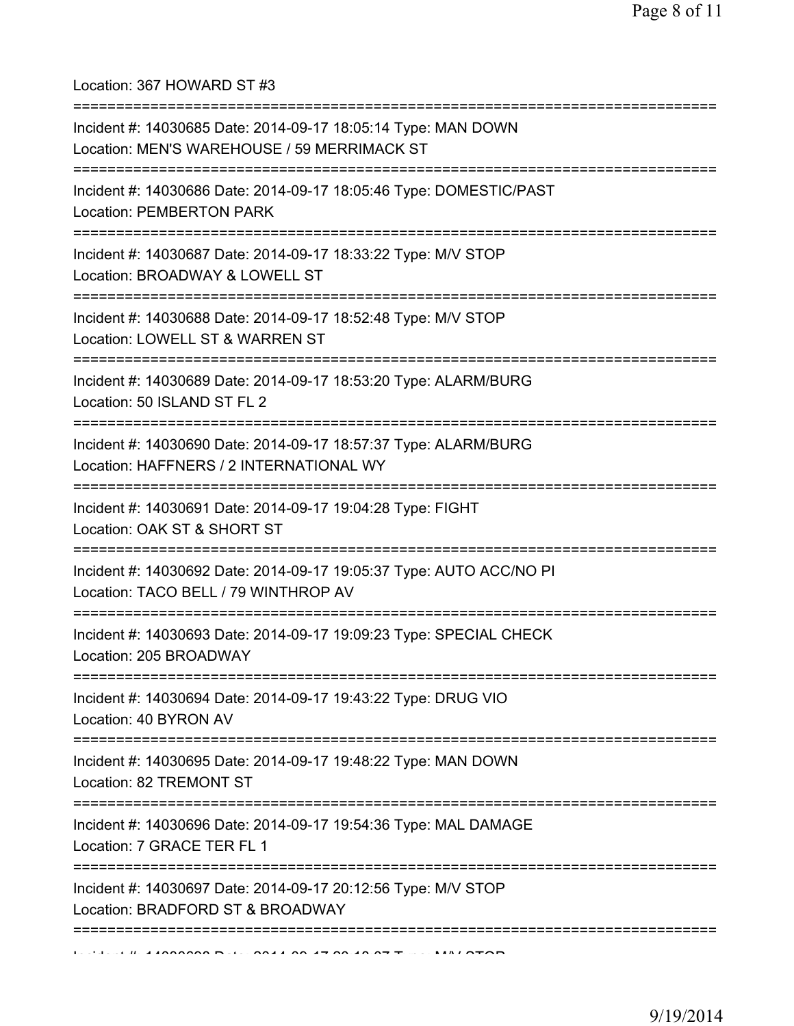Location: 367 HOWARD ST #3

| Incident #: 14030685 Date: 2014-09-17 18:05:14 Type: MAN DOWN<br>Location: MEN'S WAREHOUSE / 59 MERRIMACK ST                           |
|----------------------------------------------------------------------------------------------------------------------------------------|
| Incident #: 14030686 Date: 2014-09-17 18:05:46 Type: DOMESTIC/PAST<br><b>Location: PEMBERTON PARK</b>                                  |
| Incident #: 14030687 Date: 2014-09-17 18:33:22 Type: M/V STOP<br>Location: BROADWAY & LOWELL ST<br>;================================== |
| Incident #: 14030688 Date: 2014-09-17 18:52:48 Type: M/V STOP<br>Location: LOWELL ST & WARREN ST<br>=====================              |
| Incident #: 14030689 Date: 2014-09-17 18:53:20 Type: ALARM/BURG<br>Location: 50 ISLAND ST FL 2                                         |
| Incident #: 14030690 Date: 2014-09-17 18:57:37 Type: ALARM/BURG<br>Location: HAFFNERS / 2 INTERNATIONAL WY                             |
| Incident #: 14030691 Date: 2014-09-17 19:04:28 Type: FIGHT<br>Location: OAK ST & SHORT ST                                              |
| Incident #: 14030692 Date: 2014-09-17 19:05:37 Type: AUTO ACC/NO PI<br>Location: TACO BELL / 79 WINTHROP AV                            |
| Incident #: 14030693 Date: 2014-09-17 19:09:23 Type: SPECIAL CHECK<br>Location: 205 BROADWAY                                           |
| Incident #: 14030694 Date: 2014-09-17 19:43:22 Type: DRUG VIO<br>Location: 40 BYRON AV                                                 |
| Incident #: 14030695 Date: 2014-09-17 19:48:22 Type: MAN DOWN<br>Location: 82 TREMONT ST                                               |
| Incident #: 14030696 Date: 2014-09-17 19:54:36 Type: MAL DAMAGE<br>Location: 7 GRACE TER FL 1                                          |
| Incident #: 14030697 Date: 2014-09-17 20:12:56 Type: M/V STOP<br>Location: BRADFORD ST & BROADWAY                                      |
|                                                                                                                                        |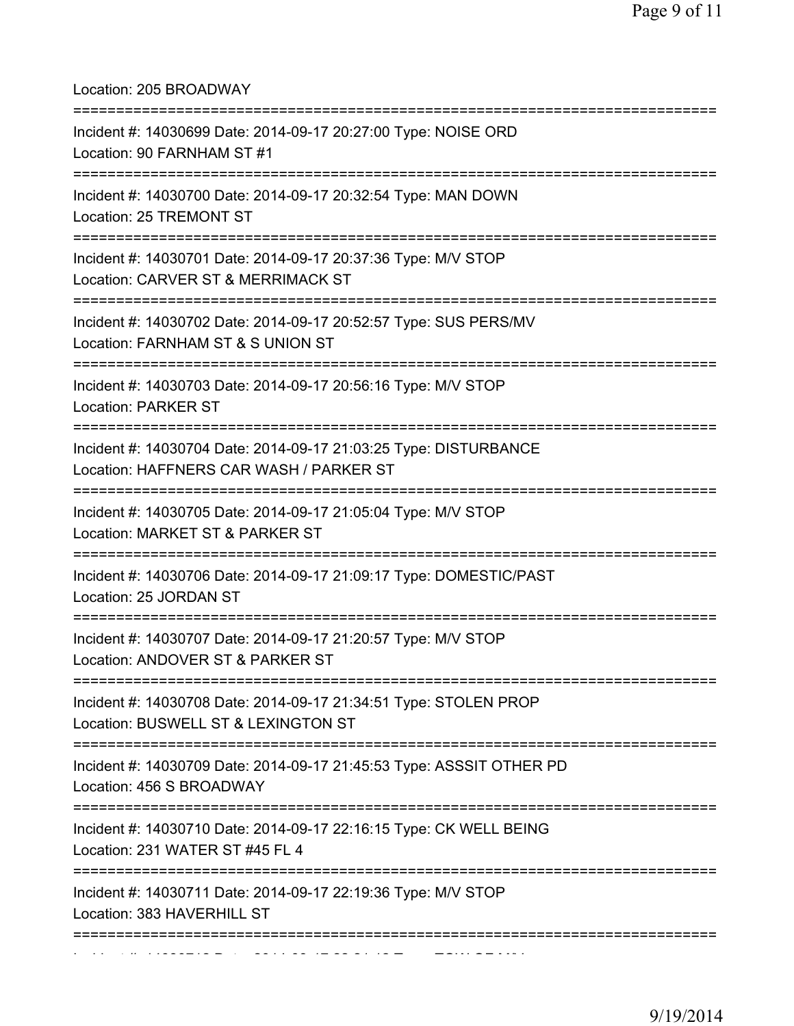Location: 205 BROADWAY

| Incident #: 14030699 Date: 2014-09-17 20:27:00 Type: NOISE ORD<br>Location: 90 FARNHAM ST #1                                             |
|------------------------------------------------------------------------------------------------------------------------------------------|
| Incident #: 14030700 Date: 2014-09-17 20:32:54 Type: MAN DOWN<br>Location: 25 TREMONT ST                                                 |
| =================================<br>Incident #: 14030701 Date: 2014-09-17 20:37:36 Type: M/V STOP<br>Location: CARVER ST & MERRIMACK ST |
| Incident #: 14030702 Date: 2014-09-17 20:52:57 Type: SUS PERS/MV<br>Location: FARNHAM ST & S UNION ST                                    |
| Incident #: 14030703 Date: 2014-09-17 20:56:16 Type: M/V STOP<br><b>Location: PARKER ST</b>                                              |
| Incident #: 14030704 Date: 2014-09-17 21:03:25 Type: DISTURBANCE<br>Location: HAFFNERS CAR WASH / PARKER ST                              |
| Incident #: 14030705 Date: 2014-09-17 21:05:04 Type: M/V STOP<br>Location: MARKET ST & PARKER ST                                         |
| Incident #: 14030706 Date: 2014-09-17 21:09:17 Type: DOMESTIC/PAST<br>Location: 25 JORDAN ST                                             |
| Incident #: 14030707 Date: 2014-09-17 21:20:57 Type: M/V STOP<br>Location: ANDOVER ST & PARKER ST                                        |
| Incident #: 14030708 Date: 2014-09-17 21:34:51 Type: STOLEN PROP<br>Location: BUSWELL ST & LEXINGTON ST                                  |
| Incident #: 14030709 Date: 2014-09-17 21:45:53 Type: ASSSIT OTHER PD<br>Location: 456 S BROADWAY                                         |
| Incident #: 14030710 Date: 2014-09-17 22:16:15 Type: CK WELL BEING<br>Location: 231 WATER ST #45 FL 4                                    |
| Incident #: 14030711 Date: 2014-09-17 22:19:36 Type: M/V STOP<br>Location: 383 HAVERHILL ST                                              |
|                                                                                                                                          |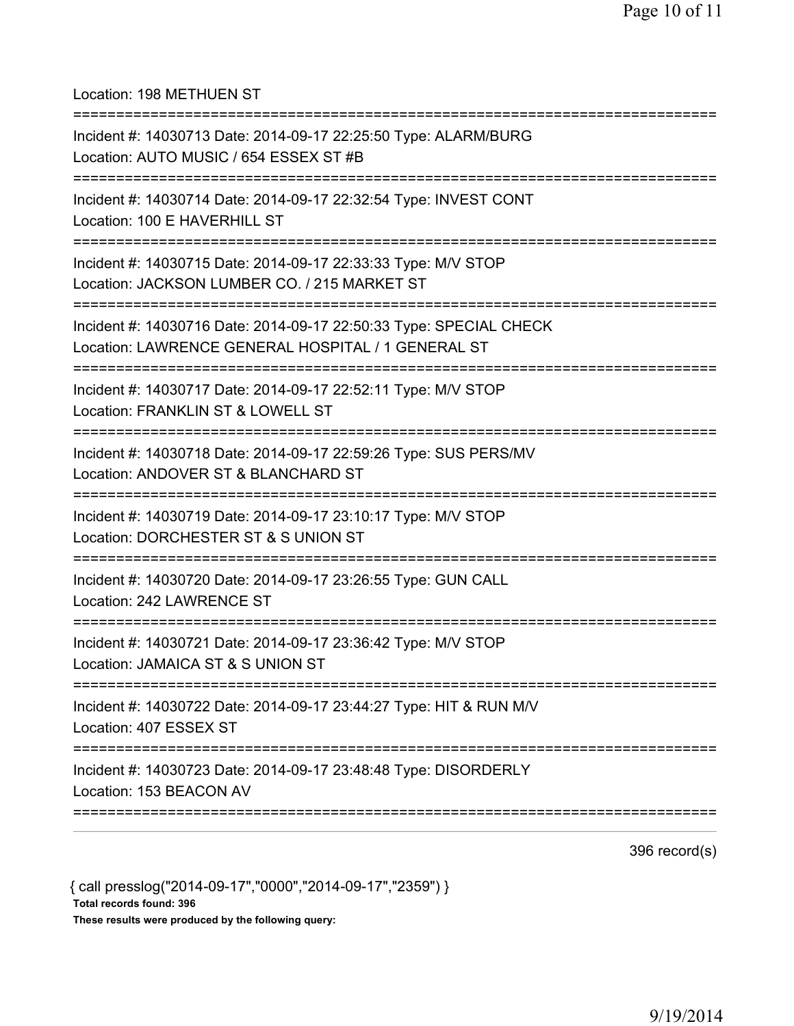## Location: 198 METHUEN ST

| Incident #: 14030713 Date: 2014-09-17 22:25:50 Type: ALARM/BURG<br>Location: AUTO MUSIC / 654 ESSEX ST #B                              |
|----------------------------------------------------------------------------------------------------------------------------------------|
| Incident #: 14030714 Date: 2014-09-17 22:32:54 Type: INVEST CONT<br>Location: 100 E HAVERHILL ST                                       |
| Incident #: 14030715 Date: 2014-09-17 22:33:33 Type: M/V STOP<br>Location: JACKSON LUMBER CO. / 215 MARKET ST                          |
| Incident #: 14030716 Date: 2014-09-17 22:50:33 Type: SPECIAL CHECK<br>Location: LAWRENCE GENERAL HOSPITAL / 1 GENERAL ST               |
| Incident #: 14030717 Date: 2014-09-17 22:52:11 Type: M/V STOP<br>Location: FRANKLIN ST & LOWELL ST                                     |
| :==========================<br>Incident #: 14030718 Date: 2014-09-17 22:59:26 Type: SUS PERS/MV<br>Location: ANDOVER ST & BLANCHARD ST |
| Incident #: 14030719 Date: 2014-09-17 23:10:17 Type: M/V STOP<br>Location: DORCHESTER ST & S UNION ST                                  |
| Incident #: 14030720 Date: 2014-09-17 23:26:55 Type: GUN CALL<br>Location: 242 LAWRENCE ST                                             |
| Incident #: 14030721 Date: 2014-09-17 23:36:42 Type: M/V STOP<br>Location: JAMAICA ST & S UNION ST                                     |
| Incident #: 14030722 Date: 2014-09-17 23:44:27 Type: HIT & RUN M/V<br>Location: 407 ESSEX ST                                           |
| Incident #: 14030723 Date: 2014-09-17 23:48:48 Type: DISORDERLY<br>Location: 153 BEACON AV                                             |
|                                                                                                                                        |

396 record(s)

{ call presslog("2014-09-17","0000","2014-09-17","2359") } Total records found: 396 These results were produced by the following query: